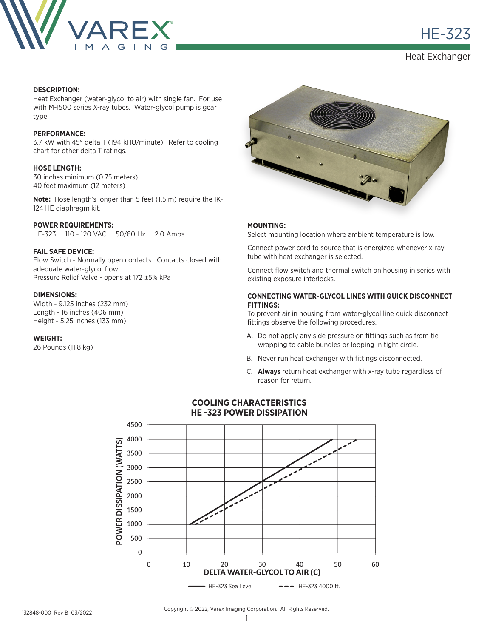

в село в село в село в село в наших на село в наших на село в наших на село в наших на село в наших на село в<br>В наших наших наших наших наших наших наших наших на село в наших наших наших наших наших наших наших наших на

Heat Exchanger

# **DESCRIPTION:**

Heat Exchanger (water-glycol to air) with single fan. For use with M-1500 series X-ray tubes. Water-glycol pump is gear type.

# **PERFORMANCE:**

3.7 kW with 45° delta T (194 kHU/minute). Refer to cooling chart for other delta T ratings.

# **HOSE LENGTH:**

30 inches minimum (0.75 meters) 40 feet maximum (12 meters)

**Note:** Hose length's longer than 5 feet (1.5 m) require the IK-124 HE diaphragm kit.

## **POWER REQUIREMENTS:**

HE-323 110 - 120 VAC 50/60 Hz 2.0 Amps

## **FAIL SAFE DEVICE:**

Flow Switch - Normally open contacts. Contacts closed with adequate water-glycol flow. Pressure Relief Valve - opens at 172 ±5% kPa

## **DIMENSIONS:**

Width - 9.125 inches (232 mm) Length - 16 inches (406 mm) Height - 5.25 inches (133 mm)

#### **WEIGHT:**

26 Pounds (11.8 kg)



#### **MOUNTING:**

Select mounting location where ambient temperature is low.

Connect power cord to source that is energized whenever x-ray tube with heat exchanger is selected.

Connect flow switch and thermal switch on housing in series with existing exposure interlocks.

## **CONNECTING WATER-GLYCOL LINES WITH QUICK DISCONNECT FITTINGS:**

To prevent air in housing from water-glycol line quick disconnect fittings observe the following procedures.

- A. Do not apply any side pressure on fittings such as from tiewrapping to cable bundles or looping in tight circle.
- B. Never run heat exchanger with fittings disconnected.
- C. **Always** return heat exchanger with x-ray tube regardless of reason for return.



## **COOLING CHARACTERISTICS HE -323 POWER DISSIPATION**

Copyright © 2022, Varex Imaging Corporation. All Rights Reserved.